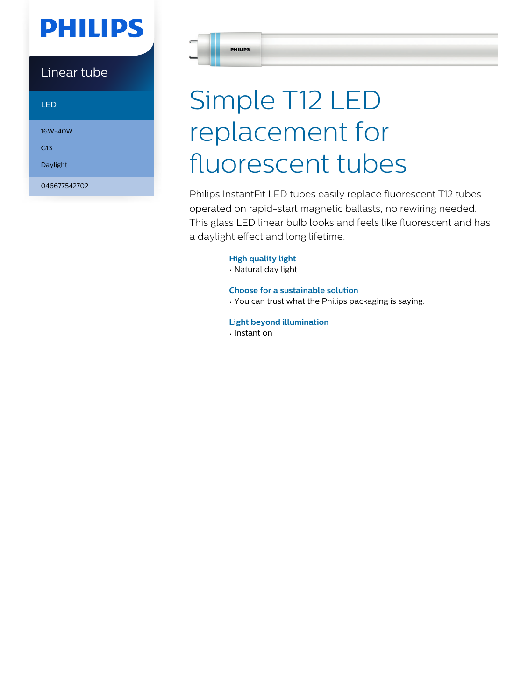# **PHILIPS**

Linear tube

LED

16W-40W

G13

Daylight

046677542702

**PHILIPS** 

# Simple T12 LED replacement for fluorescent tubes

Philips InstantFit LED tubes easily replace fluorescent T12 tubes operated on rapid-start magnetic ballasts, no rewiring needed. This glass LED linear bulb looks and feels like fluorescent and has a daylight effect and long lifetime.

**High quality light**

• Natural day light

**Choose for a sustainable solution** • You can trust what the Philips packaging is saying.

**Light beyond illumination** • Instant on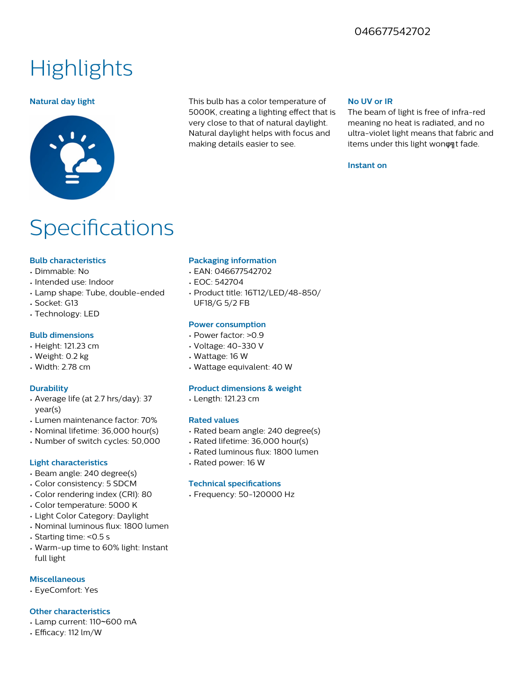### 046677542702

## **Highlights**



**Natural day light** This bulb has a color temperature of 5000K, creating a lighting effect that is very close to that of natural daylight. Natural daylight helps with focus and making details easier to see.

#### **No UV or IR**

The beam of light is free of infra-red meaning no heat is radiated, and no ultra-violet light means that fabric and items under this light wonφat fade.

#### **Instant on**

### **Specifications**

#### **Bulb characteristics**

- Dimmable: No
- Intended use: Indoor
- Lamp shape: Tube, double-ended
- Socket: G13
- Technology: LED

#### **Bulb dimensions**

- Height: 121.23 cm
- Weight: 0.2 kg
- Width: 2.78 cm

#### **Durability**

- Average life (at 2.7 hrs/day): 37 year(s)
- Lumen maintenance factor: 70%
- Nominal lifetime: 36,000 hour(s)
- Number of switch cycles: 50,000

#### **Light characteristics**

- Beam angle: 240 degree(s)
- Color consistency: 5 SDCM
- Color rendering index (CRI): 80
- Color temperature: 5000 K
- Light Color Category: Daylight
- Nominal luminous flux: 1800 lumen
- Starting time: <0.5 s
- Warm-up time to 60% light: Instant full light

#### **Miscellaneous**

• EyeComfort: Yes

#### **Other characteristics**

- Lamp current: 110~600 mA
- Efficacy: 112 lm/W

#### **Packaging information**

- EAN: 046677542702
- EOC: 542704
- Product title: 16T12/LED/48-850/ UF18/G 5/2 FB

#### **Power consumption**

- Power factor: >0.9
- Voltage: 40-330 V
- Wattage: 16 W
- Wattage equivalent: 40 W

#### **Product dimensions & weight**

• Length: 121.23 cm

#### **Rated values**

- Rated beam angle: 240 degree(s)
- Rated lifetime: 36,000 hour(s)
- Rated luminous flux: 1800 lumen
- Rated power: 16 W

#### **Technical specifications**

• Frequency: 50-120000 Hz